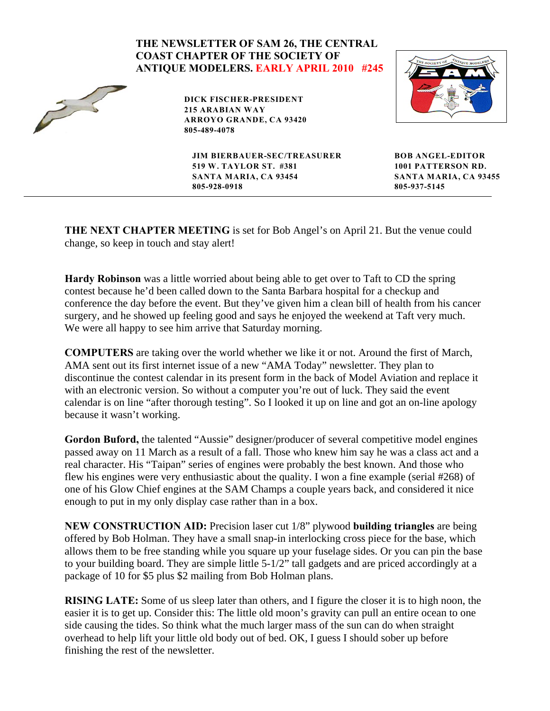## **THE NEWSLETTER OF SAM 26, THE CENTRAL COAST CHAPTER OF THE SOCIETY OF ANTIQUE MODELERS. EARLY APRIL 2010 #245**  $\tilde{z}$ **DICK FISCHER-PRESIDENT 215 ARABIAN WAY ARROYO GRANDE, CA 93420 805-489-4078 JIM BIERBAUER-SEC/TREASURER BOB ANGEL-EDITOR 519 W. TAYLOR ST. #381 1001 PATTERSON RD. SANTA MARIA, CA 93454 SANTA MARIA, CA 93455 805-928-0918805-937-5145**

**THE NEXT CHAPTER MEETING** is set for Bob Angel's on April 21. But the venue could change, so keep in touch and stay alert!

**Hardy Robinson** was a little worried about being able to get over to Taft to CD the spring contest because he'd been called down to the Santa Barbara hospital for a checkup and conference the day before the event. But they've given him a clean bill of health from his cancer surgery, and he showed up feeling good and says he enjoyed the weekend at Taft very much. We were all happy to see him arrive that Saturday morning.

**COMPUTERS** are taking over the world whether we like it or not. Around the first of March, AMA sent out its first internet issue of a new "AMA Today" newsletter. They plan to discontinue the contest calendar in its present form in the back of Model Aviation and replace it with an electronic version. So without a computer you're out of luck. They said the event calendar is on line "after thorough testing". So I looked it up on line and got an on-line apology because it wasn't working.

Gordon Buford, the talented "Aussie" designer/producer of several competitive model engines passed away on 11 March as a result of a fall. Those who knew him say he was a class act and a real character. His "Taipan" series of engines were probably the best known. And those who flew his engines were very enthusiastic about the quality. I won a fine example (serial #268) of one of his Glow Chief engines at the SAM Champs a couple years back, and considered it nice enough to put in my only display case rather than in a box.

**NEW CONSTRUCTION AID:** Precision laser cut 1/8" plywood **building triangles** are being offered by Bob Holman. They have a small snap-in interlocking cross piece for the base, which allows them to be free standing while you square up your fuselage sides. Or you can pin the base to your building board. They are simple little 5-1/2" tall gadgets and are priced accordingly at a package of 10 for \$5 plus \$2 mailing from Bob Holman plans.

**RISING LATE:** Some of us sleep later than others, and I figure the closer it is to high noon, the easier it is to get up. Consider this: The little old moon's gravity can pull an entire ocean to one side causing the tides. So think what the much larger mass of the sun can do when straight overhead to help lift your little old body out of bed. OK, I guess I should sober up before finishing the rest of the newsletter.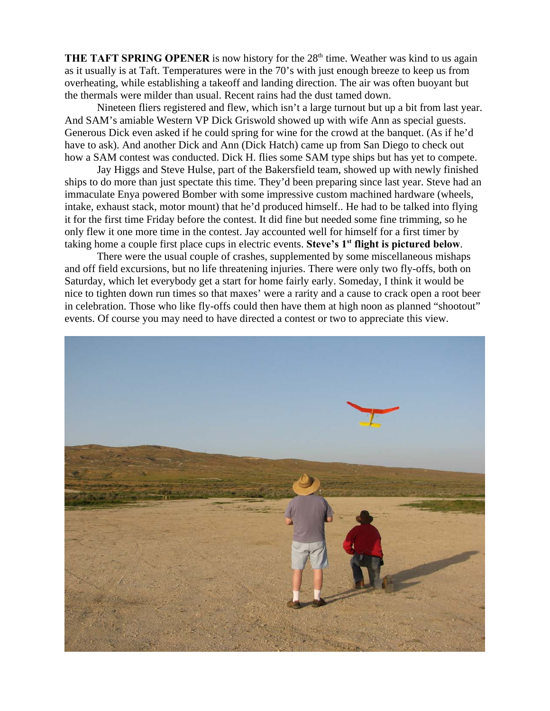**THE TAFT SPRING OPENER** is now history for the  $28<sup>th</sup>$  time. Weather was kind to us again as it usually is at Taft. Temperatures were in the 70's with just enough breeze to keep us from overheating, while establishing a takeoff and landing direction. The air was often buoyant but the thermals were milder than usual. Recent rains had the dust tamed down.

Nineteen fliers registered and flew, which isn't a large turnout but up a bit from last year. And SAM's amiable Western VP Dick Griswold showed up with wife Ann as special guests. Generous Dick even asked if he could spring for wine for the crowd at the banquet. (As if he'd have to ask). And another Dick and Ann (Dick Hatch) came up from San Diego to check out how a SAM contest was conducted. Dick H. flies some SAM type ships but has yet to compete.

Jay Higgs and Steve Hulse, part of the Bakersfield team, showed up with newly finished ships to do more than just spectate this time. They'd been preparing since last year. Steve had an immaculate Enya powered Bomber with some impressive custom machined hardware (wheels, intake, exhaust stack, motor mount) that he'd produced himself.. He had to be talked into flying it for the first time Friday before the contest. It did fine but needed some fine trimming, so he only flew it one more time in the contest. Jay accounted well for himself for a first timer by taking home a couple first place cups in electric events. Steve's 1<sup>st</sup> flight is pictured below.

There were the usual couple of crashes, supplemented by some miscellaneous mishaps and off field excursions, but no life threatening injuries. There were only two fly-offs, both on Saturday, which let everybody get a start for home fairly early. Someday, I think it would be nice to tighten down run times so that maxes' were a rarity and a cause to crack open a root beer in celebration. Those who like fly-offs could then have them at high noon as planned "shootout" events. Of course you may need to have directed a contest or two to appreciate this view.

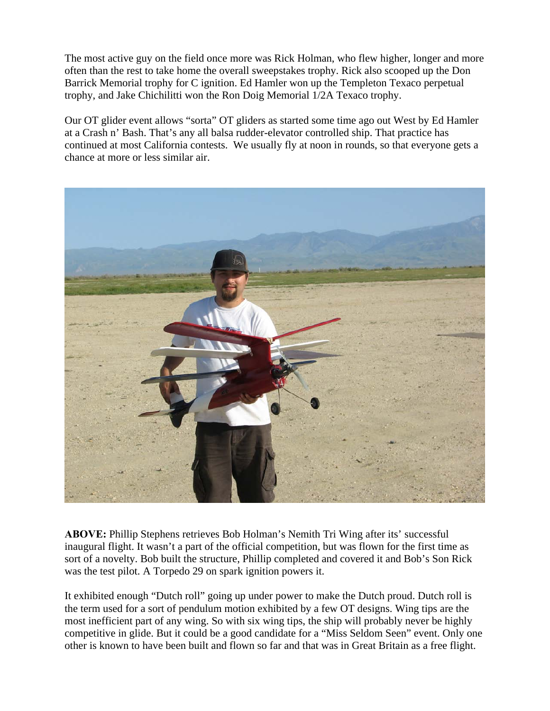The most active guy on the field once more was Rick Holman, who flew higher, longer and more often than the rest to take home the overall sweepstakes trophy. Rick also scooped up the Don Barrick Memorial trophy for C ignition. Ed Hamler won up the Templeton Texaco perpetual trophy, and Jake Chichilitti won the Ron Doig Memorial 1/2A Texaco trophy.

Our OT glider event allows "sorta" OT gliders as started some time ago out West by Ed Hamler at a Crash n' Bash. That's any all balsa rudder-elevator controlled ship. That practice has continued at most California contests. We usually fly at noon in rounds, so that everyone gets a chance at more or less similar air.



**ABOVE:** Phillip Stephens retrieves Bob Holman's Nemith Tri Wing after its' successful inaugural flight. It wasn't a part of the official competition, but was flown for the first time as sort of a novelty. Bob built the structure, Phillip completed and covered it and Bob's Son Rick was the test pilot. A Torpedo 29 on spark ignition powers it.

It exhibited enough "Dutch roll" going up under power to make the Dutch proud. Dutch roll is the term used for a sort of pendulum motion exhibited by a few OT designs. Wing tips are the most inefficient part of any wing. So with six wing tips, the ship will probably never be highly competitive in glide. But it could be a good candidate for a "Miss Seldom Seen" event. Only one other is known to have been built and flown so far and that was in Great Britain as a free flight.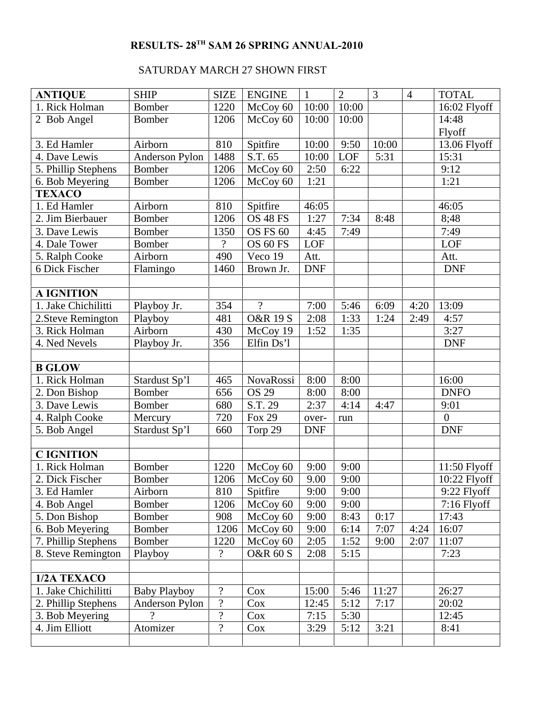## **RESULTS- 28<sup>TH</sup> SAM 26 SPRING ANNUAL-2010**

## SATURDAY MARCH 27 SHOWN FIRST

| <b>ANTIQUE</b>      | <b>SHIP</b>         | <b>SIZE</b>              | <b>ENGINE</b>       | $\mathbf{1}$ | $\overline{2}$ | 3     | $\overline{4}$ | <b>TOTAL</b>   |
|---------------------|---------------------|--------------------------|---------------------|--------------|----------------|-------|----------------|----------------|
| 1. Rick Holman      | <b>Bomber</b>       | 1220                     | McCoy 60            | 10:00        | 10:00          |       |                | 16:02 Flyoff   |
| 2 Bob Angel         | <b>Bomber</b>       | 1206                     | McCoy 60            | 10:00        | 10:00          |       |                | 14:48          |
|                     |                     |                          |                     |              |                |       |                | Flyoff         |
| 3. Ed Hamler        | Airborn             | 810                      | Spitfire            | 10:00        | 9:50           | 10:00 |                | 13.06 Flyoff   |
| 4. Dave Lewis       | Anderson Pylon      | 1488                     | S.T. 65             | 10:00        | LOF            | 5:31  |                | 15:31          |
| 5. Phillip Stephens | <b>Bomber</b>       | 1206                     | McCoy 60            | 2:50         | 6:22           |       |                | 9:12           |
| 6. Bob Meyering     | <b>Bomber</b>       | 1206                     | McCoy 60            | 1:21         |                |       |                | 1:21           |
| <b>TEXACO</b>       |                     |                          |                     |              |                |       |                |                |
| 1. Ed Hamler        | Airborn             | 810                      | Spitfire            | 46:05        |                |       |                | 46:05          |
| 2. Jim Bierbauer    | <b>Bomber</b>       | 1206                     | <b>OS 48 FS</b>     | 1:27         | 7:34           | 8:48  |                | 8;48           |
| 3. Dave Lewis       | Bomber              | 1350                     | OS FS 60            | 4:45         | 7:49           |       |                | 7:49           |
| 4. Dale Tower       | Bomber              | $\overline{\mathcal{L}}$ | OS 60 FS            | LOF          |                |       |                | LOF            |
| 5. Ralph Cooke      | Airborn             | 490                      | Veco 19             | Att.         |                |       |                | Att.           |
| 6 Dick Fischer      | Flamingo            | 1460                     | Brown Jr.           | <b>DNF</b>   |                |       |                | <b>DNF</b>     |
|                     |                     |                          |                     |              |                |       |                |                |
| <b>A IGNITION</b>   |                     |                          |                     |              |                |       |                |                |
| 1. Jake Chichilitti | Playboy Jr.         | 354                      | $\gamma$            | 7:00         | 5:46           | 6:09  | 4:20           | 13:09          |
| 2. Steve Remington  | Playboy             | 481                      | <b>O&amp;R 19 S</b> | 2:08         | 1:33           | 1:24  | 2:49           | 4:57           |
| 3. Rick Holman      | Airborn             | 430                      | McCoy 19            | 1:52         | 1:35           |       |                | 3:27           |
| 4. Ned Nevels       | Playboy Jr.         | 356                      | Elfin Ds'l          |              |                |       |                | <b>DNF</b>     |
|                     |                     |                          |                     |              |                |       |                |                |
| <b>B GLOW</b>       |                     |                          |                     |              |                |       |                |                |
| 1. Rick Holman      | Stardust Sp'l       | 465                      | <b>NovaRossi</b>    | 8:00         | 8:00           |       |                | 16:00          |
| 2. Don Bishop       | <b>Bomber</b>       | 656                      | <b>OS 29</b>        | 8:00         | 8:00           |       |                | <b>DNFO</b>    |
| 3. Dave Lewis       | Bomber              | 680                      | S.T. 29             | 2:37         | 4:14           | 4:47  |                | 9:01           |
| 4. Ralph Cooke      | Mercury             | 720                      | <b>Fox 29</b>       | over-        | run            |       |                | $\overline{0}$ |
| 5. Bob Angel        | Stardust Sp'l       | 660                      | Torp 29             | <b>DNF</b>   |                |       |                | <b>DNF</b>     |
|                     |                     |                          |                     |              |                |       |                |                |
| <b>C IGNITION</b>   |                     |                          |                     |              |                |       |                |                |
| 1. Rick Holman      | <b>Bomber</b>       | 1220                     | McCoy 60            | 9:00         | 9:00           |       |                | 11:50 Flyoff   |
| 2. Dick Fischer     | Bomber              | 1206                     | McCoy 60            | 9.00         | 9:00           |       |                | $10:22$ Flyoff |
| 3. Ed Hamler        | Airborn             | 810                      | Spitfire            | 9:00         | 9:00           |       |                | 9:22 Flyoff    |
| 4. Bob Angel        | <b>Bomber</b>       | 1206                     | McCoy 60            | 9:00         | 9:00           |       |                | 7:16 Flyoff    |
| 5. Don Bishop       | Bomber              | 908                      | McCoy 60            | 9:00         | 8:43           | 0:17  |                | 17:43          |
| 6. Bob Meyering     | <b>Bomber</b>       | 1206                     | McCoy 60            | 9:00         | 6:14           | 7:07  | 4:24           | 16:07          |
| 7. Phillip Stephens | <b>Bomber</b>       | 1220                     | McCoy 60            | 2:05         | 1:52           | 9:00  | 2:07           | 11:07          |
| 8. Steve Remington  | Playboy             | $\overline{\cdot}$       | <b>O&amp;R 60 S</b> | 2:08         | 5:15           |       |                | 7:23           |
|                     |                     |                          |                     |              |                |       |                |                |
| 1/2A TEXACO         |                     |                          |                     |              |                |       |                |                |
| 1. Jake Chichilitti | <b>Baby Playboy</b> | $\boldsymbol{v}$         | Cox                 | 15:00        | 5:46           | 11:27 |                | 26:27          |
| 2. Phillip Stephens | Anderson Pylon      | $\boldsymbol{?}$         | Cox                 | 12:45        | 5:12           | 7:17  |                | 20:02          |
| 3. Bob Meyering     | $\gamma$            | $\boldsymbol{?}$         | $\cos$              | 7:15         | 5:30           |       |                | 12:45          |
| 4. Jim Elliott      | Atomizer            | $\overline{\mathcal{L}}$ | Cox                 | 3:29         | 5:12           | 3:21  |                | 8:41           |
|                     |                     |                          |                     |              |                |       |                |                |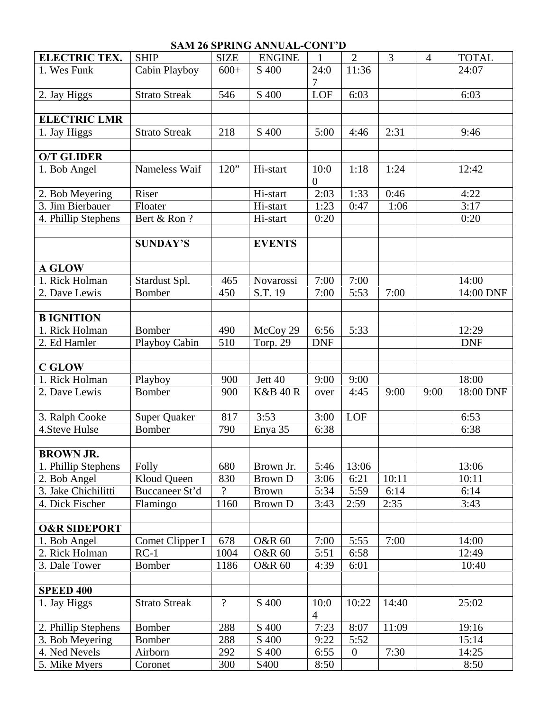| <b>SAM 26 SPRING ANNUAL-CONT'D</b> |                      |                |                     |                        |                  |       |                |              |  |  |  |
|------------------------------------|----------------------|----------------|---------------------|------------------------|------------------|-------|----------------|--------------|--|--|--|
| <b>ELECTRIC TEX.</b>               | <b>SHIP</b>          | <b>SIZE</b>    | <b>ENGINE</b>       |                        | $\overline{2}$   | 3     | $\overline{4}$ | <b>TOTAL</b> |  |  |  |
| 1. Wes Funk                        | Cabin Playboy        | $600+$         | S 400               | 24:0<br>7              | 11:36            |       |                | 24:07        |  |  |  |
| 2. Jay Higgs                       | <b>Strato Streak</b> | 546            | S 400               | LOF                    | 6:03             |       |                | 6:03         |  |  |  |
|                                    |                      |                |                     |                        |                  |       |                |              |  |  |  |
| <b>ELECTRIC LMR</b>                |                      |                |                     |                        |                  |       |                |              |  |  |  |
| 1. Jay Higgs                       | <b>Strato Streak</b> | 218            | S 400               | 5:00                   | 4:46             | 2:31  |                | 9:46         |  |  |  |
|                                    |                      |                |                     |                        |                  |       |                |              |  |  |  |
| <b>O/T GLIDER</b>                  |                      |                |                     |                        |                  |       |                |              |  |  |  |
| 1. Bob Angel                       | Nameless Waif        | 120"           | Hi-start            | 10:0<br>$\overline{0}$ | 1:18             | 1:24  |                | 12:42        |  |  |  |
| 2. Bob Meyering                    | Riser                |                | Hi-start            | 2:03                   | 1:33             | 0:46  |                | 4:22         |  |  |  |
| 3. Jim Bierbauer                   | Floater              |                | Hi-start            | 1:23                   | 0:47             | 1:06  |                | 3:17         |  |  |  |
| 4. Phillip Stephens                | Bert & Ron?          |                | Hi-start            | 0:20                   |                  |       |                | 0:20         |  |  |  |
|                                    |                      |                |                     |                        |                  |       |                |              |  |  |  |
|                                    | <b>SUNDAY'S</b>      |                | <b>EVENTS</b>       |                        |                  |       |                |              |  |  |  |
| <b>A GLOW</b>                      |                      |                |                     |                        |                  |       |                |              |  |  |  |
| 1. Rick Holman                     | Stardust Spl.        | 465            | Novarossi           | 7:00                   | 7:00             |       |                | 14:00        |  |  |  |
| 2. Dave Lewis                      | <b>Bomber</b>        | 450            | S.T. 19             | 7:00                   | 5:53             | 7:00  |                | 14:00 DNF    |  |  |  |
|                                    |                      |                |                     |                        |                  |       |                |              |  |  |  |
| <b>B IGNITION</b>                  |                      |                |                     |                        |                  |       |                |              |  |  |  |
| 1. Rick Holman                     | Bomber               | 490            | McCoy 29            | 6:56                   | 5:33             |       |                | 12:29        |  |  |  |
| 2. Ed Hamler                       | Playboy Cabin        | 510            | Torp. 29            | <b>DNF</b>             |                  |       |                | <b>DNF</b>   |  |  |  |
|                                    |                      |                |                     |                        |                  |       |                |              |  |  |  |
| <b>C GLOW</b>                      |                      |                |                     |                        |                  |       |                |              |  |  |  |
| 1. Rick Holman                     | Playboy              | 900            | Jett 40             | 9:00                   | 9:00             |       |                | 18:00        |  |  |  |
| 2. Dave Lewis                      | Bomber               | 900            | <b>K&amp;B 40 R</b> | over                   | 4:45             | 9:00  | 9:00           | 18:00 DNF    |  |  |  |
| 3. Ralph Cooke                     | <b>Super Quaker</b>  | 817            | 3:53                | 3:00                   | LOF              |       |                | 6:53         |  |  |  |
| 4. Steve Hulse                     | Bomber               | 790            | Enya 35             | 6:38                   |                  |       |                | 6:38         |  |  |  |
|                                    |                      |                |                     |                        |                  |       |                |              |  |  |  |
| <b>BROWN JR.</b>                   |                      |                |                     |                        |                  |       |                |              |  |  |  |
| 1. Phillip Stephens                | Folly                | 680            | Brown Jr.           | 5:46                   | 13:06            |       |                | 13:06        |  |  |  |
| 2. Bob Angel                       | Kloud Queen          | 830            | <b>Brown D</b>      | 3:06                   | 6:21             | 10:11 |                | 10:11        |  |  |  |
| 3. Jake Chichilitti                | Buccaneer St'd       | $\gamma$       | <b>Brown</b>        | 5:34                   | 5:59             | 6:14  |                | 6:14         |  |  |  |
| 4. Dick Fischer                    | Flamingo             | 1160           | <b>Brown D</b>      | 3:43                   | 2:59             | 2:35  |                | 3:43         |  |  |  |
| <b>O&amp;R SIDEPORT</b>            |                      |                |                     |                        |                  |       |                |              |  |  |  |
| 1. Bob Angel                       | Comet Clipper I      | 678            | <b>O&amp;R 60</b>   | 7:00                   | 5:55             | 7:00  |                | 14:00        |  |  |  |
| 2. Rick Holman                     | $RC-1$               | 1004           | <b>O&amp;R 60</b>   | 5:51                   | 6:58             |       |                | 12:49        |  |  |  |
| 3. Dale Tower                      | Bomber               | 1186           | <b>O&amp;R 60</b>   | 4:39                   | 6:01             |       |                | 10:40        |  |  |  |
|                                    |                      |                |                     |                        |                  |       |                |              |  |  |  |
| <b>SPEED 400</b>                   |                      |                |                     |                        |                  |       |                |              |  |  |  |
| 1. Jay Higgs                       | <b>Strato Streak</b> | $\overline{?}$ | S 400               | 10:0<br>4              | 10:22            | 14:40 |                | 25:02        |  |  |  |
| 2. Phillip Stephens                | Bomber               | 288            | S 400               | 7:23                   | 8:07             | 11:09 |                | 19:16        |  |  |  |
| 3. Bob Meyering                    | Bomber               | 288            | S 400               | 9:22                   | 5:52             |       |                | 15:14        |  |  |  |
| 4. Ned Nevels                      | Airborn              | 292            | S 400               | 6:55                   | $\boldsymbol{0}$ | 7:30  |                | 14:25        |  |  |  |
| 5. Mike Myers                      | Coronet              | 300            | S400                | 8:50                   |                  |       |                | 8:50         |  |  |  |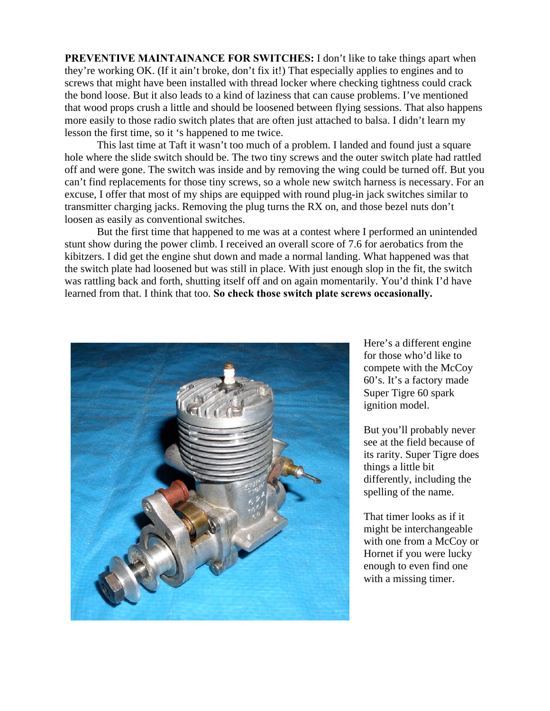**PREVENTIVE MAINTAINANCE FOR SWITCHES:** I don't like to take things apart when they're working OK. (If it ain't broke, don't fix it!) That especially applies to engines and to screws that might have been installed with thread locker where checking tightness could crack the bond loose. But it also leads to a kind of laziness that can cause problems. I've mentioned that wood props crush a little and should be loosened between flying sessions. That also happens more easily to those radio switch plates that are often just attached to balsa. I didn't learn my lesson the first time, so it 's happened to me twice.

This last time at Taft it wasn't too much of a problem. I landed and found just a square hole where the slide switch should be. The two tiny screws and the outer switch plate had rattled off and were gone. The switch was inside and by removing the wing could be turned off. But you can't find replacements for those tiny screws, so a whole new switch harness is necessary. For an excuse, I offer that most of my ships are equipped with round plug-in jack switches similar to transmitter charging jacks. Removing the plug turns the RX on, and those bezel nuts don't loosen as easily as conventional switches.

But the first time that happened to me was at a contest where I performed an unintended stunt show during the power climb. I received an overall score of 7.6 for aerobatics from the kibitzers. I did get the engine shut down and made a normal landing. What happened was that the switch plate had loosened but was still in place. With just enough slop in the fit, the switch was rattling back and forth, shutting itself off and on again momentarily. You'd think I'd have learned from that. I think that too. **So check those switch plate screws occasionally.**



Here's a different engine for those who'd like to compete with the McCoy 60's. It's a factory made Super Tigre 60 spark ignition model.

But you'll probably never see at the field because of its rarity. Super Tigre does things a little bit differently, including the spelling of the name.

That timer looks as if it might be interchangeable with one from a McCoy or Hornet if you were lucky enough to even find one with a missing timer.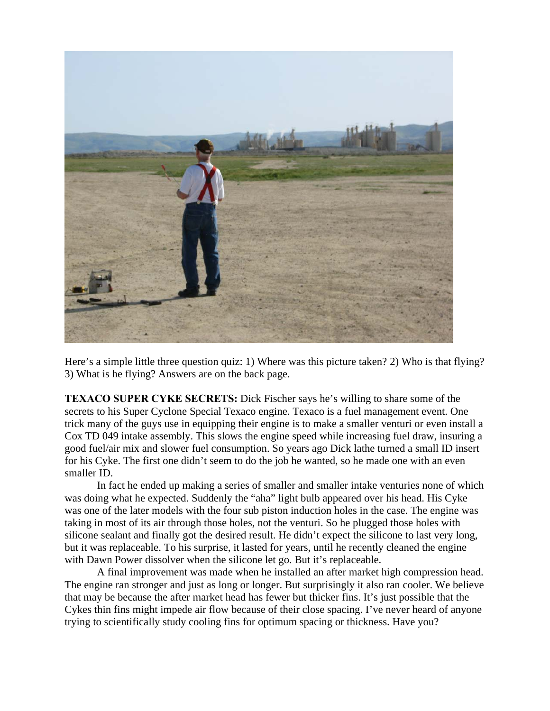

Here's a simple little three question quiz: 1) Where was this picture taken? 2) Who is that flying? 3) What is he flying? Answers are on the back page.

**TEXACO SUPER CYKE SECRETS:** Dick Fischer says he's willing to share some of the secrets to his Super Cyclone Special Texaco engine. Texaco is a fuel management event. One trick many of the guys use in equipping their engine is to make a smaller venturi or even install a Cox TD 049 intake assembly. This slows the engine speed while increasing fuel draw, insuring a good fuel/air mix and slower fuel consumption. So years ago Dick lathe turned a small ID insert for his Cyke. The first one didn't seem to do the job he wanted, so he made one with an even smaller ID.

In fact he ended up making a series of smaller and smaller intake venturies none of which was doing what he expected. Suddenly the "aha" light bulb appeared over his head. His Cyke was one of the later models with the four sub piston induction holes in the case. The engine was taking in most of its air through those holes, not the venturi. So he plugged those holes with silicone sealant and finally got the desired result. He didn't expect the silicone to last very long, but it was replaceable. To his surprise, it lasted for years, until he recently cleaned the engine with Dawn Power dissolver when the silicone let go. But it's replaceable.

A final improvement was made when he installed an after market high compression head. The engine ran stronger and just as long or longer. But surprisingly it also ran cooler. We believe that may be because the after market head has fewer but thicker fins. It's just possible that the Cykes thin fins might impede air flow because of their close spacing. I've never heard of anyone trying to scientifically study cooling fins for optimum spacing or thickness. Have you?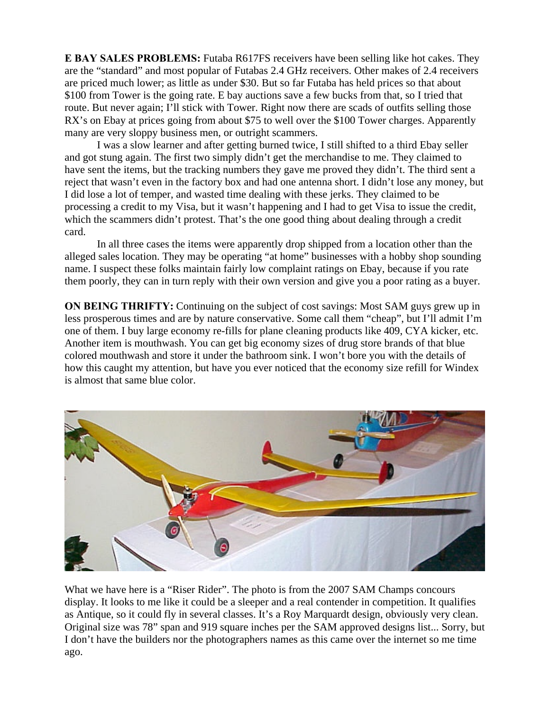**E BAY SALES PROBLEMS:** Futaba R617FS receivers have been selling like hot cakes. They are the "standard" and most popular of Futabas 2.4 GHz receivers. Other makes of 2.4 receivers are priced much lower; as little as under \$30. But so far Futaba has held prices so that about \$100 from Tower is the going rate. E bay auctions save a few bucks from that, so I tried that route. But never again; I'll stick with Tower. Right now there are scads of outfits selling those RX's on Ebay at prices going from about \$75 to well over the \$100 Tower charges. Apparently many are very sloppy business men, or outright scammers.

I was a slow learner and after getting burned twice, I still shifted to a third Ebay seller and got stung again. The first two simply didn't get the merchandise to me. They claimed to have sent the items, but the tracking numbers they gave me proved they didn't. The third sent a reject that wasn't even in the factory box and had one antenna short. I didn't lose any money, but I did lose a lot of temper, and wasted time dealing with these jerks. They claimed to be processing a credit to my Visa, but it wasn't happening and I had to get Visa to issue the credit, which the scammers didn't protest. That's the one good thing about dealing through a credit card.

In all three cases the items were apparently drop shipped from a location other than the alleged sales location. They may be operating "at home" businesses with a hobby shop sounding name. I suspect these folks maintain fairly low complaint ratings on Ebay, because if you rate them poorly, they can in turn reply with their own version and give you a poor rating as a buyer.

**ON BEING THRIFTY:** Continuing on the subject of cost savings: Most SAM guys grew up in less prosperous times and are by nature conservative. Some call them "cheap", but I'll admit I'm one of them. I buy large economy re-fills for plane cleaning products like 409, CYA kicker, etc. Another item is mouthwash. You can get big economy sizes of drug store brands of that blue colored mouthwash and store it under the bathroom sink. I won't bore you with the details of how this caught my attention, but have you ever noticed that the economy size refill for Windex is almost that same blue color.



What we have here is a "Riser Rider". The photo is from the 2007 SAM Champs concours display. It looks to me like it could be a sleeper and a real contender in competition. It qualifies as Antique, so it could fly in several classes. It's a Roy Marquardt design, obviously very clean. Original size was 78" span and 919 square inches per the SAM approved designs list... Sorry, but I don't have the builders nor the photographers names as this came over the internet so me time ago.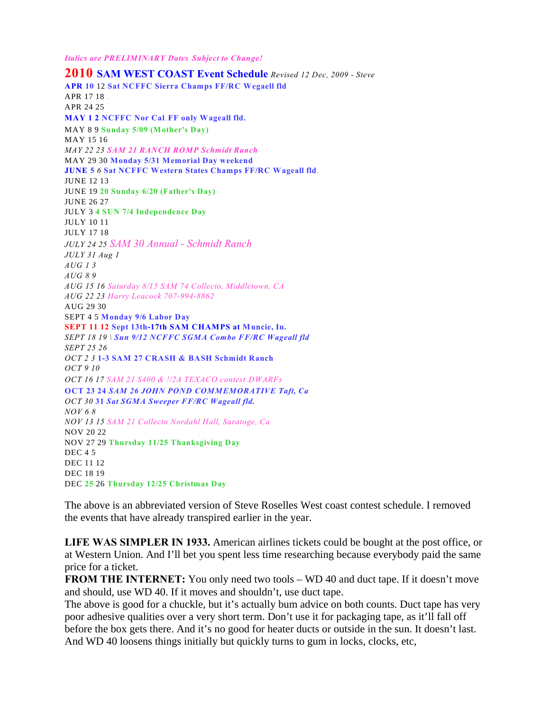*Italics are PRELIMINARY Dates.Subject to Change!*

**2010 SAM WEST COAST Event Schedule** *Revised 12 Dec, 2009 - Steve* **APR 10** 12 **Sat NCFFC Sierra Champs FF/RC Wegaell fld** APR 17 18 *.* APR 24 25 **MAY 1 2 NCFFC Nor Cal**.**FF only Wageall fld.** MAY 8 9 **Sunday 5/09 (Mother's Day)** MAY 15 16 *MAY 22 23 SAM 21 RANCH ROMP Schmidt Ranch* MAY 29 30 **Monday 5/31 Memorial Day weekend JUNE 5** *6* **Sat NCFFC Western States Champs FF/RC Wageall fld***.* JUNE 12 13 JUNE 19 **20 Sunday 6/20 (Father's Day)** JUNE 26 27 JULY 3 **4 SUN 7/4 Independence Day** JULY 10 11 JULY 17 18 *JULY 24 25 SAM 30 Annual - Schmidt Ranch JULY 31 Aug 1 AUG 1 3 AUG 8 9 AUG 15 16 Saturday 8/15 SAM 74 Collecto, Middletown, CA AUG 22 23 Harry Leacock 707-994-8862* AUG 29 30 SEPT 4 5 **Monday 9/6 Labor Day SEPT 11 12 Sept 13th-17th SAM CHAMPS at Muncie, In.** *SEPT 18 19 \ Sun 9/12 NCFFC SGMA Combo FF/RC Wageall fld SEPT 25 26 OCT 2 3* **1-3 SAM 27 CRASH & BASH Schmidt Ranch** *OCT 9 10 OCT 16 17 SAM 21 S400 & !/2A TEXACO contest.DWARFs* **OCT 23 24** *SAM 26 JOHN POND COMMEMORATIVE Taft, Ca OCT 30* **31** *Sat SGMA Sweeper FF/RC Wageall fld. NOV 6 8 NOV 13 15 SAM 21 Collecto Nordahl Hall, Saratoge, Ca* NOV 20 22 NOV 27 29 **Thursday 11/25 Thanksgiving Day** DEC 4 5 DEC 11 12 DEC 18 19 DEC **25** 26 **Thursday 12/25 Christmas Day**

The above is an abbreviated version of Steve Roselles West coast contest schedule. I removed the events that have already transpired earlier in the year.

**LIFE WAS SIMPLER IN 1933.** American airlines tickets could be bought at the post office, or at Western Union. And I'll bet you spent less time researching because everybody paid the same price for a ticket.

**FROM THE INTERNET:** You only need two tools – WD 40 and duct tape. If it doesn't move and should, use WD 40. If it moves and shouldn't, use duct tape.

The above is good for a chuckle, but it's actually bum advice on both counts. Duct tape has very poor adhesive qualities over a very short term. Don't use it for packaging tape, as it'll fall off before the box gets there. And it's no good for heater ducts or outside in the sun. It doesn't last. And WD 40 loosens things initially but quickly turns to gum in locks, clocks, etc,